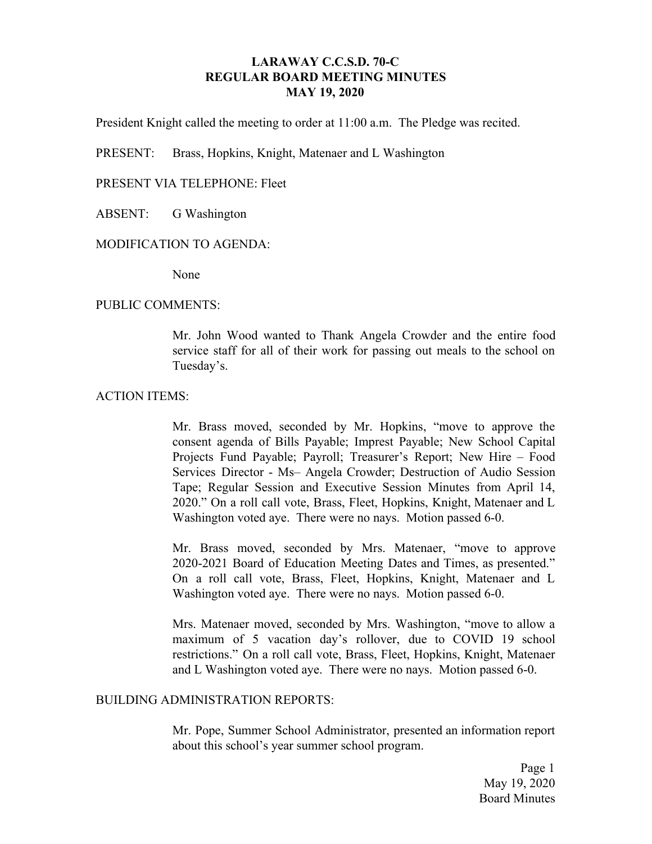## **LARAWAY C.C.S.D. 70-C REGULAR BOARD MEETING MINUTES MAY 19, 2020**

President Knight called the meeting to order at 11:00 a.m. The Pledge was recited.

PRESENT: Brass, Hopkins, Knight, Matenaer and L Washington

### PRESENT VIA TELEPHONE: Fleet

ABSENT: G Washington

#### MODIFICATION TO AGENDA:

None

#### PUBLIC COMMENTS:

Mr. John Wood wanted to Thank Angela Crowder and the entire food service staff for all of their work for passing out meals to the school on Tuesday's.

#### ACTION ITEMS:

Mr. Brass moved, seconded by Mr. Hopkins, "move to approve the consent agenda of Bills Payable; Imprest Payable; New School Capital Projects Fund Payable; Payroll; Treasurer's Report; New Hire – Food Services Director - Ms– Angela Crowder; Destruction of Audio Session Tape; Regular Session and Executive Session Minutes from April 14, 2020." On a roll call vote, Brass, Fleet, Hopkins, Knight, Matenaer and L Washington voted aye. There were no nays. Motion passed 6-0.

Mr. Brass moved, seconded by Mrs. Matenaer, "move to approve 2020-2021 Board of Education Meeting Dates and Times, as presented." On a roll call vote, Brass, Fleet, Hopkins, Knight, Matenaer and L Washington voted aye. There were no nays. Motion passed 6-0.

Mrs. Matenaer moved, seconded by Mrs. Washington, "move to allow a maximum of 5 vacation day's rollover, due to COVID 19 school restrictions." On a roll call vote, Brass, Fleet, Hopkins, Knight, Matenaer and L Washington voted aye. There were no nays. Motion passed 6-0.

## BUILDING ADMINISTRATION REPORTS:

Mr. Pope, Summer School Administrator, presented an information report about this school's year summer school program.